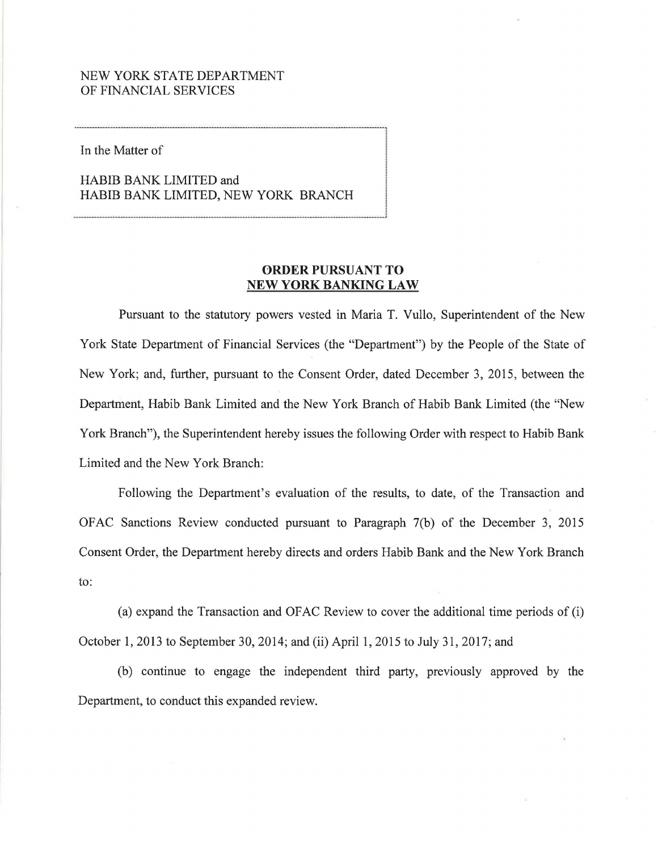## NEW YORK STATE DEPARTMENT OF FINANCIAL SERVICES

In the Matter of

HABIB BANK LIMITED and HABIB BANK LIMITED, NEW YORK BRANCH

## **ORDER PURSUANT TO NEW YORK BANKING LAW**

Pursuant to the statutory powers vested in Maria T. Vullo, Superintendent of the New York State Department of Financial Services (the "Department") by the People of the State of New York; and, further, pursuant to the Consent Order, dated December 3, 2015, between the Department, Habib Bank Limited and the New York Branch of Habib Bank Limited (the "New York Branch"), the Superintendent hereby issues the following Order with respect to Habib Bank Limited and the New York Branch:

Following the Department's evaluation of the results, to date, of the Transaction and OFAC Sanctions Review conducted pursuant to Paragraph 7(b) of the December 3, 2015 Consent Order, the Department hereby directs and orders Habib Bank and the New York Branch to:

(a) expand the Transaction and OFAC Review to cover the additional time periods of (i) October 1, 2013 to September 30, 2014; and (ii) April 1, 2015 to July 31, 2017; and

(b) continue to engage the independent third party, previously approved by the Department, to conduct this expanded review.